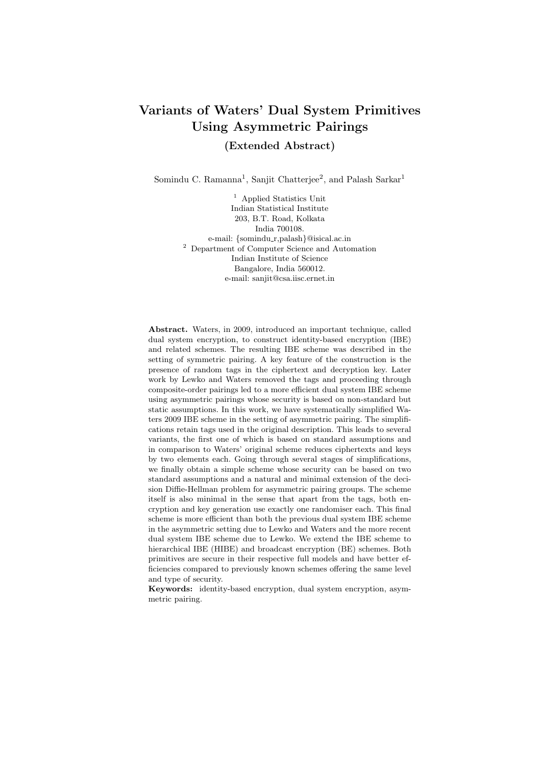# Variants of Waters' Dual System Primitives Using Asymmetric Pairings (Extended Abstract)

Somindu C. Ramanna<sup>1</sup>, Sanjit Chatterjee<sup>2</sup>, and Palash Sarkar<sup>1</sup>

<sup>1</sup> Applied Statistics Unit Indian Statistical Institute 203, B.T. Road, Kolkata India 700108. e-mail: {somindu\_r,palash}@isical.ac.in <sup>2</sup> Department of Computer Science and Automation Indian Institute of Science Bangalore, India 560012. e-mail: sanjit@csa.iisc.ernet.in

Abstract. Waters, in 2009, introduced an important technique, called dual system encryption, to construct identity-based encryption (IBE) and related schemes. The resulting IBE scheme was described in the setting of symmetric pairing. A key feature of the construction is the presence of random tags in the ciphertext and decryption key. Later work by Lewko and Waters removed the tags and proceeding through composite-order pairings led to a more efficient dual system IBE scheme using asymmetric pairings whose security is based on non-standard but static assumptions. In this work, we have systematically simplified Waters 2009 IBE scheme in the setting of asymmetric pairing. The simplifications retain tags used in the original description. This leads to several variants, the first one of which is based on standard assumptions and in comparison to Waters' original scheme reduces ciphertexts and keys by two elements each. Going through several stages of simplifications, we finally obtain a simple scheme whose security can be based on two standard assumptions and a natural and minimal extension of the decision Diffie-Hellman problem for asymmetric pairing groups. The scheme itself is also minimal in the sense that apart from the tags, both encryption and key generation use exactly one randomiser each. This final scheme is more efficient than both the previous dual system IBE scheme in the asymmetric setting due to Lewko and Waters and the more recent dual system IBE scheme due to Lewko. We extend the IBE scheme to hierarchical IBE (HIBE) and broadcast encryption (BE) schemes. Both primitives are secure in their respective full models and have better efficiencies compared to previously known schemes offering the same level and type of security.

Keywords: identity-based encryption, dual system encryption, asymmetric pairing.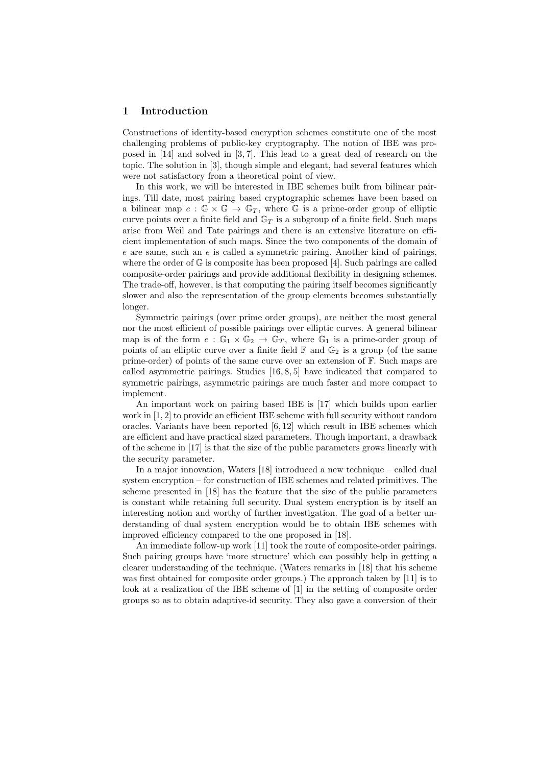# 1 Introduction

Constructions of identity-based encryption schemes constitute one of the most challenging problems of public-key cryptography. The notion of IBE was proposed in [14] and solved in [3, 7]. This lead to a great deal of research on the topic. The solution in [3], though simple and elegant, had several features which were not satisfactory from a theoretical point of view.

In this work, we will be interested in IBE schemes built from bilinear pairings. Till date, most pairing based cryptographic schemes have been based on a bilinear map  $e : \mathbb{G} \times \mathbb{G} \to \mathbb{G}_T$ , where  $\mathbb{G}$  is a prime-order group of elliptic curve points over a finite field and  $\mathbb{G}_T$  is a subgroup of a finite field. Such maps arise from Weil and Tate pairings and there is an extensive literature on efficient implementation of such maps. Since the two components of the domain of  $e$  are same, such an  $e$  is called a symmetric pairing. Another kind of pairings, where the order of  $\mathbb G$  is composite has been proposed [4]. Such pairings are called composite-order pairings and provide additional flexibility in designing schemes. The trade-off, however, is that computing the pairing itself becomes significantly slower and also the representation of the group elements becomes substantially longer.

Symmetric pairings (over prime order groups), are neither the most general nor the most efficient of possible pairings over elliptic curves. A general bilinear map is of the form  $e : \mathbb{G}_1 \times \mathbb{G}_2 \to \mathbb{G}_T$ , where  $\mathbb{G}_1$  is a prime-order group of points of an elliptic curve over a finite field  $\mathbb F$  and  $\mathbb G_2$  is a group (of the same prime-order) of points of the same curve over an extension of F. Such maps are called asymmetric pairings. Studies [16, 8, 5] have indicated that compared to symmetric pairings, asymmetric pairings are much faster and more compact to implement.

An important work on pairing based IBE is [17] which builds upon earlier work in [1, 2] to provide an efficient IBE scheme with full security without random oracles. Variants have been reported [6, 12] which result in IBE schemes which are efficient and have practical sized parameters. Though important, a drawback of the scheme in [17] is that the size of the public parameters grows linearly with the security parameter.

In a major innovation, Waters [18] introduced a new technique – called dual system encryption – for construction of IBE schemes and related primitives. The scheme presented in [18] has the feature that the size of the public parameters is constant while retaining full security. Dual system encryption is by itself an interesting notion and worthy of further investigation. The goal of a better understanding of dual system encryption would be to obtain IBE schemes with improved efficiency compared to the one proposed in [18].

An immediate follow-up work [11] took the route of composite-order pairings. Such pairing groups have 'more structure' which can possibly help in getting a clearer understanding of the technique. (Waters remarks in [18] that his scheme was first obtained for composite order groups.) The approach taken by [11] is to look at a realization of the IBE scheme of [1] in the setting of composite order groups so as to obtain adaptive-id security. They also gave a conversion of their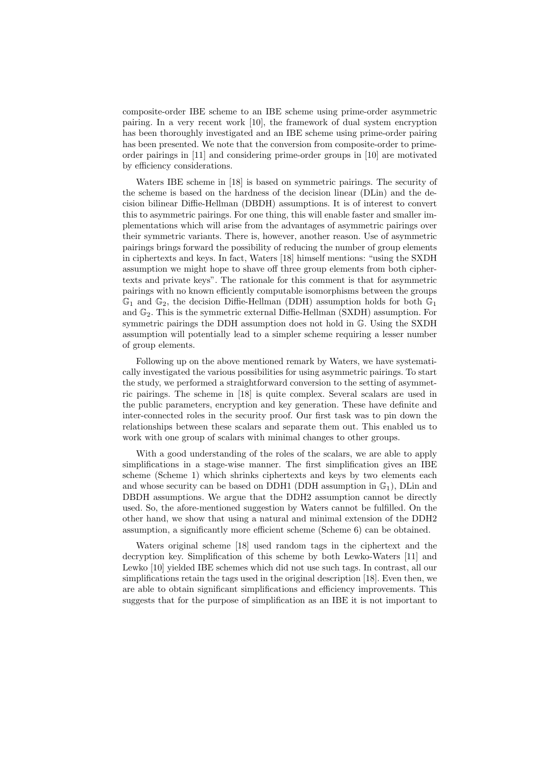composite-order IBE scheme to an IBE scheme using prime-order asymmetric pairing. In a very recent work [10], the framework of dual system encryption has been thoroughly investigated and an IBE scheme using prime-order pairing has been presented. We note that the conversion from composite-order to primeorder pairings in [11] and considering prime-order groups in [10] are motivated by efficiency considerations.

Waters IBE scheme in [18] is based on symmetric pairings. The security of the scheme is based on the hardness of the decision linear (DLin) and the decision bilinear Diffie-Hellman (DBDH) assumptions. It is of interest to convert this to asymmetric pairings. For one thing, this will enable faster and smaller implementations which will arise from the advantages of asymmetric pairings over their symmetric variants. There is, however, another reason. Use of asymmetric pairings brings forward the possibility of reducing the number of group elements in ciphertexts and keys. In fact, Waters [18] himself mentions: "using the SXDH assumption we might hope to shave off three group elements from both ciphertexts and private keys". The rationale for this comment is that for asymmetric pairings with no known efficiently computable isomorphisms between the groups  $\mathbb{G}_1$  and  $\mathbb{G}_2$ , the decision Diffie-Hellman (DDH) assumption holds for both  $\mathbb{G}_1$ and  $\mathbb{G}_2$ . This is the symmetric external Diffie-Hellman (SXDH) assumption. For symmetric pairings the DDH assumption does not hold in G. Using the SXDH assumption will potentially lead to a simpler scheme requiring a lesser number of group elements.

Following up on the above mentioned remark by Waters, we have systematically investigated the various possibilities for using asymmetric pairings. To start the study, we performed a straightforward conversion to the setting of asymmetric pairings. The scheme in [18] is quite complex. Several scalars are used in the public parameters, encryption and key generation. These have definite and inter-connected roles in the security proof. Our first task was to pin down the relationships between these scalars and separate them out. This enabled us to work with one group of scalars with minimal changes to other groups.

With a good understanding of the roles of the scalars, we are able to apply simplifications in a stage-wise manner. The first simplification gives an IBE scheme (Scheme 1) which shrinks ciphertexts and keys by two elements each and whose security can be based on DDH1 (DDH assumption in  $\mathbb{G}_1$ ), DLin and DBDH assumptions. We argue that the DDH2 assumption cannot be directly used. So, the afore-mentioned suggestion by Waters cannot be fulfilled. On the other hand, we show that using a natural and minimal extension of the DDH2 assumption, a significantly more efficient scheme (Scheme 6) can be obtained.

Waters original scheme [18] used random tags in the ciphertext and the decryption key. Simplification of this scheme by both Lewko-Waters [11] and Lewko [10] yielded IBE schemes which did not use such tags. In contrast, all our simplifications retain the tags used in the original description [18]. Even then, we are able to obtain significant simplifications and efficiency improvements. This suggests that for the purpose of simplification as an IBE it is not important to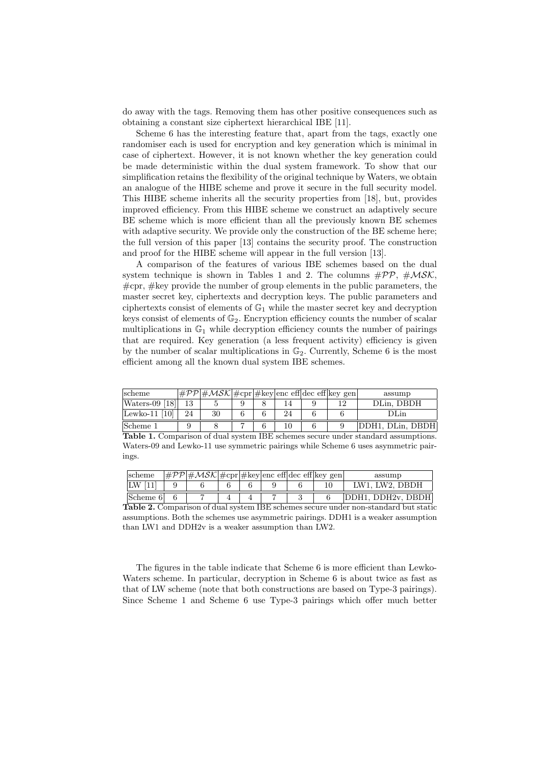do away with the tags. Removing them has other positive consequences such as obtaining a constant size ciphertext hierarchical IBE [11].

Scheme 6 has the interesting feature that, apart from the tags, exactly one randomiser each is used for encryption and key generation which is minimal in case of ciphertext. However, it is not known whether the key generation could be made deterministic within the dual system framework. To show that our simplification retains the flexibility of the original technique by Waters, we obtain an analogue of the HIBE scheme and prove it secure in the full security model. This HIBE scheme inherits all the security properties from [18], but, provides improved efficiency. From this HIBE scheme we construct an adaptively secure BE scheme which is more efficient than all the previously known BE schemes with adaptive security. We provide only the construction of the BE scheme here; the full version of this paper [13] contains the security proof. The construction and proof for the HIBE scheme will appear in the full version [13].

A comparison of the features of various IBE schemes based on the dual system technique is shown in Tables 1 and 2. The columns  $\#\mathcal{PP}$ ,  $\#\mathcal{MSK}$ ,  $\#$ cpr,  $\#$ key provide the number of group elements in the public parameters, the master secret key, ciphertexts and decryption keys. The public parameters and ciphertexts consist of elements of  $\mathbb{G}_1$  while the master secret key and decryption keys consist of elements of  $\mathbb{G}_2$ . Encryption efficiency counts the number of scalar multiplications in  $\mathbb{G}_1$  while decryption efficiency counts the number of pairings that are required. Key generation (a less frequent activity) efficiency is given by the number of scalar multiplications in  $\mathbb{G}_2$ . Currently, Scheme 6 is the most efficient among all the known dual system IBE schemes.

| scheme          |    | $ \# \mathcal{PP}  \# \mathcal{MSK}  \# \text{cpr}  \# \text{key}  \text{enc eff}  \text{dec eff}  \text{key gen} $ |  |  | assump            |
|-----------------|----|---------------------------------------------------------------------------------------------------------------------|--|--|-------------------|
| Waters-09 [18]  |    |                                                                                                                     |  |  | DLin. DBDH        |
| Lewko-11 $[10]$ | 24 | 30                                                                                                                  |  |  | DLin              |
| Scheme 1        |    |                                                                                                                     |  |  | 'DDH1, DLin, DBDH |

Table 1. Comparison of dual system IBE schemes secure under standard assumptions. Waters-09 and Lewko-11 use symmetric pairings while Scheme 6 uses asymmetric pairings.

| scheme    | $ \#PP \#MS\mathcal{K} $ #cpr $ \# \text{key} $ enc eff $ \text{dec eff} $ key gen $ $ |  |              |  | assump                 |
|-----------|----------------------------------------------------------------------------------------|--|--------------|--|------------------------|
| LW<br>-11 |                                                                                        |  |              |  | LW1. LW2. DBDH         |
| Scheme 6  |                                                                                        |  |              |  | DDH2v. DBDH <br>'DDH1. |
| ∩ היו הד  |                                                                                        |  | <del>m</del> |  |                        |

Table 2. Comparison of dual system IBE schemes secure under non-standard but static assumptions. Both the schemes use asymmetric pairings. DDH1 is a weaker assumption than LW1 and DDH2v is a weaker assumption than LW2.

The figures in the table indicate that Scheme 6 is more efficient than Lewko-Waters scheme. In particular, decryption in Scheme 6 is about twice as fast as that of LW scheme (note that both constructions are based on Type-3 pairings). Since Scheme 1 and Scheme 6 use Type-3 pairings which offer much better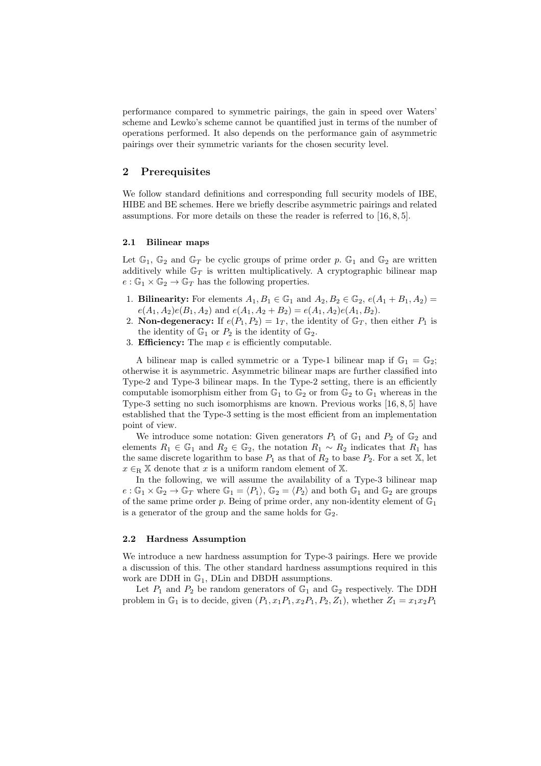performance compared to symmetric pairings, the gain in speed over Waters' scheme and Lewko's scheme cannot be quantified just in terms of the number of operations performed. It also depends on the performance gain of asymmetric pairings over their symmetric variants for the chosen security level.

# 2 Prerequisites

We follow standard definitions and corresponding full security models of IBE, HIBE and BE schemes. Here we briefly describe asymmetric pairings and related assumptions. For more details on these the reader is referred to [16, 8, 5].

### 2.1 Bilinear maps

Let  $\mathbb{G}_1$ ,  $\mathbb{G}_2$  and  $\mathbb{G}_T$  be cyclic groups of prime order p.  $\mathbb{G}_1$  and  $\mathbb{G}_2$  are written additively while  $\mathbb{G}_T$  is written multiplicatively. A cryptographic bilinear map  $e : \mathbb{G}_1 \times \mathbb{G}_2 \to \mathbb{G}_T$  has the following properties.

- 1. Bilinearity: For elements  $A_1, B_1 \in \mathbb{G}_1$  and  $A_2, B_2 \in \mathbb{G}_2$ ,  $e(A_1 + B_1, A_2) =$  $e(A_1, A_2)e(B_1, A_2)$  and  $e(A_1, A_2 + B_2) = e(A_1, A_2)e(A_1, B_2)$ .
- 2. **Non-degeneracy:** If  $e(P_1, P_2) = 1_T$ , the identity of  $\mathbb{G}_T$ , then either  $P_1$  is the identity of  $\mathbb{G}_1$  or  $P_2$  is the identity of  $\mathbb{G}_2$ .
- 3. **Efficiency:** The map  $e$  is efficiently computable.

A bilinear map is called symmetric or a Type-1 bilinear map if  $\mathbb{G}_1 = \mathbb{G}_2$ ; otherwise it is asymmetric. Asymmetric bilinear maps are further classified into Type-2 and Type-3 bilinear maps. In the Type-2 setting, there is an efficiently computable isomorphism either from  $\mathbb{G}_1$  to  $\mathbb{G}_2$  or from  $\mathbb{G}_2$  to  $\mathbb{G}_1$  whereas in the Type-3 setting no such isomorphisms are known. Previous works [16, 8, 5] have established that the Type-3 setting is the most efficient from an implementation point of view.

We introduce some notation: Given generators  $P_1$  of  $\mathbb{G}_1$  and  $P_2$  of  $\mathbb{G}_2$  and elements  $R_1 \in \mathbb{G}_1$  and  $R_2 \in \mathbb{G}_2$ , the notation  $R_1 \sim R_2$  indicates that  $R_1$  has the same discrete logarithm to base  $P_1$  as that of  $R_2$  to base  $P_2$ . For a set X, let  $x \in_R \mathbb{X}$  denote that x is a uniform random element of X.

In the following, we will assume the availability of a Type-3 bilinear map  $e : \mathbb{G}_1 \times \mathbb{G}_2 \to \mathbb{G}_T$  where  $\mathbb{G}_1 = \langle P_1 \rangle$ ,  $\mathbb{G}_2 = \langle P_2 \rangle$  and both  $\mathbb{G}_1$  and  $\mathbb{G}_2$  are groups of the same prime order p. Being of prime order, any non-identity element of  $\mathbb{G}_1$ is a generator of the group and the same holds for  $\mathbb{G}_2$ .

### 2.2 Hardness Assumption

We introduce a new hardness assumption for Type-3 pairings. Here we provide a discussion of this. The other standard hardness assumptions required in this work are DDH in  $\mathbb{G}_1$ , DLin and DBDH assumptions.

Let  $P_1$  and  $P_2$  be random generators of  $\mathbb{G}_1$  and  $\mathbb{G}_2$  respectively. The DDH problem in  $\mathbb{G}_1$  is to decide, given  $(P_1, x_1P_1, x_2P_1, P_2, Z_1)$ , whether  $Z_1 = x_1x_2P_1$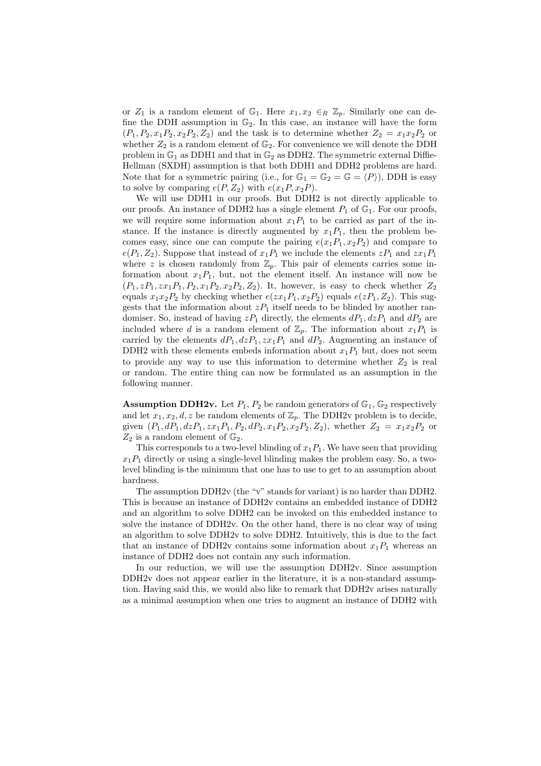or  $Z_1$  is a random element of  $\mathbb{G}_1$ . Here  $x_1, x_2 \in_R \mathbb{Z}_p$ . Similarly one can define the DDH assumption in  $\mathbb{G}_2$ . In this case, an instance will have the form  $(P_1, P_2, x_1 P_2, x_2 P_2, Z_2)$  and the task is to determine whether  $Z_2 = x_1 x_2 P_2$  or whether  $Z_2$  is a random element of  $\mathbb{G}_2$ . For convenience we will denote the DDH problem in  $\mathbb{G}_1$  as DDH1 and that in  $\mathbb{G}_2$  as DDH2. The symmetric external Diffie-Hellman (SXDH) assumption is that both DDH1 and DDH2 problems are hard. Note that for a symmetric pairing (i.e., for  $\mathbb{G}_1 = \mathbb{G}_2 = \mathbb{G} = \langle P \rangle$ ), DDH is easy to solve by comparing  $e(P, Z_2)$  with  $e(x_1P, x_2P)$ .

We will use DDH1 in our proofs. But DDH2 is not directly applicable to our proofs. An instance of DDH2 has a single element  $P_1$  of  $\mathbb{G}_1$ . For our proofs, we will require some information about  $x_1P_1$  to be carried as part of the instance. If the instance is directly augmented by  $x_1P_1$ , then the problem becomes easy, since one can compute the pairing  $e(x_1P_1, x_2P_2)$  and compare to  $e(P_1, Z_2)$ . Suppose that instead of  $x_1P_1$  we include the elements  $zP_1$  and  $zx_1P_1$ where z is chosen randomly from  $\mathbb{Z}_p$ . This pair of elements carries some information about  $x_1P_1$ , but, not the element itself. An instance will now be  $(P_1, zP_1, zx_1P_1, P_2, x_1P_2, x_2P_2, Z_2)$ . It, however, is easy to check whether  $Z_2$ equals  $x_1x_2P_2$  by checking whether  $e(zx_1P_1, x_2P_2)$  equals  $e(zP_1, Z_2)$ . This suggests that the information about  $zP_1$  itself needs to be blinded by another randomiser. So, instead of having  $zP_1$  directly, the elements  $dP_1$ ,  $dzP_1$  and  $dP_2$  are included where d is a random element of  $\mathbb{Z}_p$ . The information about  $x_1P_1$  is carried by the elements  $dP_1, dzP_1, zx_1P_1$  and  $dP_2$ . Augmenting an instance of DDH2 with these elements embeds information about  $x_1P_1$  but, does not seem to provide any way to use this information to determine whether  $Z_2$  is real or random. The entire thing can now be formulated as an assumption in the following manner.

**Assumption DDH2v.** Let  $P_1$ ,  $P_2$  be random generators of  $\mathbb{G}_1$ ,  $\mathbb{G}_2$  respectively and let  $x_1, x_2, d, z$  be random elements of  $\mathbb{Z}_p$ . The DDH2v problem is to decide, given  $(P_1, dP_1, dzP_1, zx_1P_1, P_2, dP_2, x_1P_2, x_2P_2, Z_2)$ , whether  $Z_2 = x_1x_2P_2$  or  $Z_2$  is a random element of  $\mathbb{G}_2$ .

This corresponds to a two-level blinding of  $x_1P_1$ . We have seen that providing  $x_1P_1$  directly or using a single-level blinding makes the problem easy. So, a twolevel blinding is the minimum that one has to use to get to an assumption about hardness.

The assumption DDH2v (the "v" stands for variant) is no harder than DDH2. This is because an instance of DDH2v contains an embedded instance of DDH2 and an algorithm to solve DDH2 can be invoked on this embedded instance to solve the instance of DDH2v. On the other hand, there is no clear way of using an algorithm to solve DDH2v to solve DDH2. Intuitively, this is due to the fact that an instance of DDH2v contains some information about  $x_1P_1$  whereas an instance of DDH2 does not contain any such information.

In our reduction, we will use the assumption DDH2v. Since assumption DDH2v does not appear earlier in the literature, it is a non-standard assumption. Having said this, we would also like to remark that DDH2v arises naturally as a minimal assumption when one tries to augment an instance of DDH2 with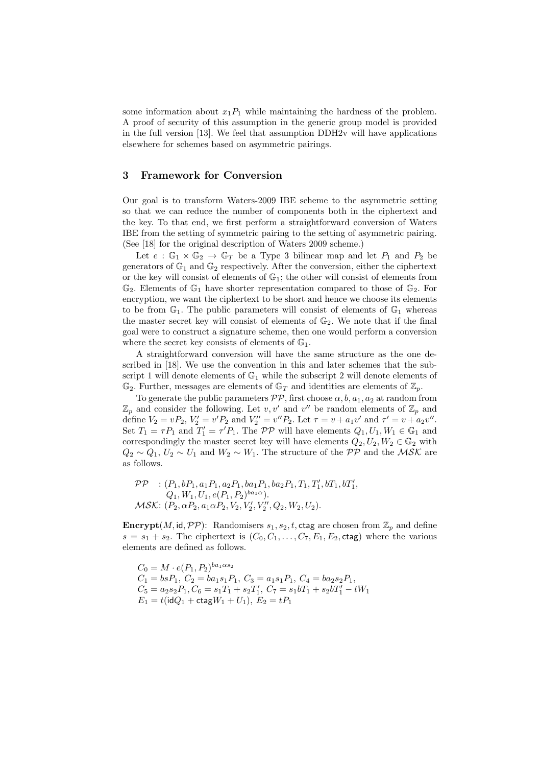some information about  $x_1P_1$  while maintaining the hardness of the problem. A proof of security of this assumption in the generic group model is provided in the full version [13]. We feel that assumption DDH2v will have applications elsewhere for schemes based on asymmetric pairings.

# 3 Framework for Conversion

Our goal is to transform Waters-2009 IBE scheme to the asymmetric setting so that we can reduce the number of components both in the ciphertext and the key. To that end, we first perform a straightforward conversion of Waters IBE from the setting of symmetric pairing to the setting of asymmetric pairing. (See [18] for the original description of Waters 2009 scheme.)

Let  $e : \mathbb{G}_1 \times \mathbb{G}_2 \to \mathbb{G}_T$  be a Type 3 bilinear map and let  $P_1$  and  $P_2$  be generators of  $\mathbb{G}_1$  and  $\mathbb{G}_2$  respectively. After the conversion, either the ciphertext or the key will consist of elements of  $\mathbb{G}_1$ ; the other will consist of elements from  $\mathbb{G}_2$ . Elements of  $\mathbb{G}_1$  have shorter representation compared to those of  $\mathbb{G}_2$ . For encryption, we want the ciphertext to be short and hence we choose its elements to be from  $\mathbb{G}_1$ . The public parameters will consist of elements of  $\mathbb{G}_1$  whereas the master secret key will consist of elements of  $\mathbb{G}_2$ . We note that if the final goal were to construct a signature scheme, then one would perform a conversion where the secret key consists of elements of  $\mathbb{G}_1$ .

A straightforward conversion will have the same structure as the one described in [18]. We use the convention in this and later schemes that the subscript 1 will denote elements of  $\mathbb{G}_1$  while the subscript 2 will denote elements of  $\mathbb{G}_2$ . Further, messages are elements of  $\mathbb{G}_T$  and identities are elements of  $\mathbb{Z}_p$ .

To generate the public parameters  $\mathcal{PP}$ , first choose  $\alpha, b, a_1, a_2$  at random from  $\mathbb{Z}_p$  and consider the following. Let  $v, v'$  and  $v''$  be random elements of  $\mathbb{Z}_p$  and define  $V_2 = vP_2$ ,  $V'_2 = v'P_2$  and  $V''_2 = v''P_2$ . Let  $\tau = v + a_1v'$  and  $\tau' = v + a_2v''$ . Set  $T_1 = \tau P_1$  and  $T_1' = \tau' P_1$ . The PP will have elements  $Q_1, U_1, W_1 \in \mathbb{G}_1$  and correspondingly the master secret key will have elements  $Q_2, U_2, W_2 \in \mathbb{G}_2$  with  $Q_2 \sim Q_1, U_2 \sim U_1$  and  $W_2 \sim W_1$ . The structure of the PP and the MSK are as follows.

$$
\mathcal{PP} : (P_1, bP_1, a_1P_1, a_2P_1, ba_1P_1, ba_2P_1, T_1, T'_1, bT_1, bT'_1, Q_1, W_1, U_1, e(P_1, P_2)^{ba_1\alpha}).
$$
  

$$
\mathcal{MSK}: (P_2, \alpha P_2, a_1\alpha P_2, V_2, V'_2, V''_2, Q_2, W_2, U_2).
$$

**Encrypt**(M, id,  $\mathcal{PP}$ ): Randomisers  $s_1, s_2, t$ , ctag are chosen from  $\mathbb{Z}_p$  and define  $s = s_1 + s_2$ . The ciphertext is  $(C_0, C_1, \ldots, C_7, E_1, E_2, \text{ctag})$  where the various elements are defined as follows.

$$
C_0 = M \cdot e(P_1, P_2)^{ba_1 \alpha s_2}
$$
  
\n
$$
C_1 = b s P_1, C_2 = b a_1 s_1 P_1, C_3 = a_1 s_1 P_1, C_4 = b a_2 s_2 P_1,
$$
  
\n
$$
C_5 = a_2 s_2 P_1, C_6 = s_1 T_1 + s_2 T_1', C_7 = s_1 b T_1 + s_2 b T_1' - t W_1
$$
  
\n
$$
E_1 = t (id Q_1 + ct a g W_1 + U_1), E_2 = t P_1
$$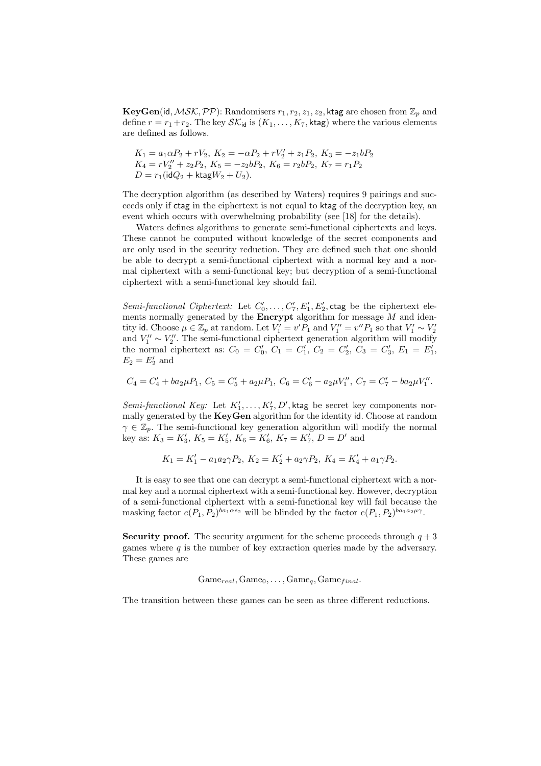**KeyGen**(id,  $MSK, PP$ ): Randomisers  $r_1, r_2, z_1, z_2$ , ktag are chosen from  $\mathbb{Z}_p$  and define  $r = r_1+r_2$ . The key  $\mathcal{SK}_{id}$  is  $(K_1, \ldots, K_7, \text{ktag})$  where the various elements are defined as follows.

$$
K_1 = a_1 \alpha P_2 + rV_2, K_2 = -\alpha P_2 + rV'_2 + z_1 P_2, K_3 = -z_1 b P_2 K_4 = rV''_2 + z_2 P_2, K_5 = -z_2 b P_2, K_6 = r_2 b P_2, K_7 = r_1 P_2 D = r_1 (idQ_2 + ktagW_2 + U_2).
$$

The decryption algorithm (as described by Waters) requires 9 pairings and succeeds only if ctag in the ciphertext is not equal to ktag of the decryption key, an event which occurs with overwhelming probability (see [18] for the details).

Waters defines algorithms to generate semi-functional ciphertexts and keys. These cannot be computed without knowledge of the secret components and are only used in the security reduction. They are defined such that one should be able to decrypt a semi-functional ciphertext with a normal key and a normal ciphertext with a semi-functional key; but decryption of a semi-functional ciphertext with a semi-functional key should fail.

Semi-functional Ciphertext: Let  $C'_0, \ldots, C'_7, E'_1, E'_2$ , ctag be the ciphertext elements normally generated by the **Encrypt** algorithm for message  $M$  and identity id. Choose  $\mu \in \mathbb{Z}_p$  at random. Let  $V_1' = v'P_1$  and  $V_1'' = v''P_1$  so that  $V_1' \sim V_2'$ and  $V''_1 \sim V''_2$ . The semi-functional ciphertext generation algorithm will modify the normal ciphertext as:  $C_0 = C'_0$ ,  $C_1 = C'_1$ ,  $C_2 = C'_2$ ,  $C_3 = C'_3$ ,  $E_1 = E'_1$ ,  $E_2 = E'_2$  and

$$
C_4 = C_4' + ba_2 \mu P_1, C_5 = C_5' + a_2 \mu P_1, C_6 = C_6' - a_2 \mu V_1'', C_7 = C_7' - ba_2 \mu V_1''.
$$

Semi-functional Key: Let  $K'_1, \ldots, K'_7, D'$ , ktag be secret key components normally generated by the  $KeyGen$  algorithm for the identity id. Choose at random  $\gamma \in \mathbb{Z}_p$ . The semi-functional key generation algorithm will modify the normal key as:  $K_3 = K'_3$ ,  $K_5 = K'_5$ ,  $K_6 = K'_6$ ,  $K_7 = K'_7$ ,  $D = D'$  and

$$
K_1 = K_1' - a_1 a_2 \gamma P_2, K_2 = K_2' + a_2 \gamma P_2, K_4 = K_4' + a_1 \gamma P_2.
$$

It is easy to see that one can decrypt a semi-functional ciphertext with a normal key and a normal ciphertext with a semi-functional key. However, decryption of a semi-functional ciphertext with a semi-functional key will fail because the masking factor  $e(P_1, P_2)^{ba_1 \alpha s_2}$  will be blinded by the factor  $e(P_1, P_2)^{ba_1 a_2 \mu \gamma}$ .

**Security proof.** The security argument for the scheme proceeds through  $q + 3$ games where  $q$  is the number of key extraction queries made by the adversary. These games are

 $\text{Game}_{real}, \text{Game}_{0}, \ldots, \text{Game}_{q}, \text{Game}_{final}.$ 

The transition between these games can be seen as three different reductions.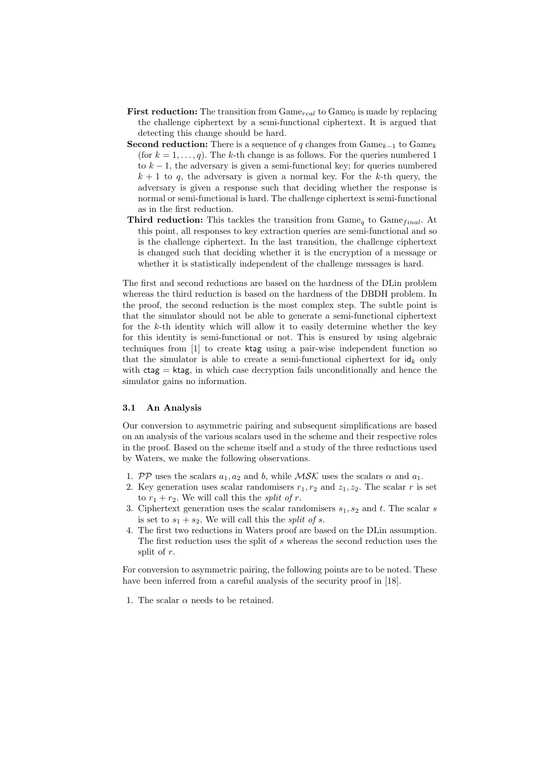- **First reduction:** The transition from  $\text{Game}_{real}$  to  $\text{Game}_{0}$  is made by replacing the challenge ciphertext by a semi-functional ciphertext. It is argued that detecting this change should be hard.
- Second reduction: There is a sequence of q changes from  $\text{Game}_{k-1}$  to  $\text{Game}_k$ (for  $k = 1, \ldots, q$ ). The k-th change is as follows. For the queries numbered 1 to  $k-1$ , the adversary is given a semi-functional key; for queries numbered  $k + 1$  to q, the adversary is given a normal key. For the k-th query, the adversary is given a response such that deciding whether the response is normal or semi-functional is hard. The challenge ciphertext is semi-functional as in the first reduction.
- **Third reduction:** This tackles the transition from  $\text{Game}_q$  to  $\text{Game}_{final}$ . At this point, all responses to key extraction queries are semi-functional and so is the challenge ciphertext. In the last transition, the challenge ciphertext is changed such that deciding whether it is the encryption of a message or whether it is statistically independent of the challenge messages is hard.

The first and second reductions are based on the hardness of the DLin problem whereas the third reduction is based on the hardness of the DBDH problem. In the proof, the second reduction is the most complex step. The subtle point is that the simulator should not be able to generate a semi-functional ciphertext for the  $k$ -th identity which will allow it to easily determine whether the key for this identity is semi-functional or not. This is ensured by using algebraic techniques from [1] to create ktag using a pair-wise independent function so that the simulator is able to create a semi-functional ciphertext for  $\mathsf{id}_k$  only with  $\text{ctag} = \text{ktag}$ , in which case decryption fails unconditionally and hence the simulator gains no information.

#### 3.1 An Analysis

Our conversion to asymmetric pairing and subsequent simplifications are based on an analysis of the various scalars used in the scheme and their respective roles in the proof. Based on the scheme itself and a study of the three reductions used by Waters, we make the following observations.

- 1. PP uses the scalars  $a_1, a_2$  and b, while MSK uses the scalars  $\alpha$  and  $a_1$ .
- 2. Key generation uses scalar randomisers  $r_1, r_2$  and  $z_1, z_2$ . The scalar r is set to  $r_1 + r_2$ . We will call this the *split of* r.
- 3. Ciphertext generation uses the scalar randomisers  $s_1, s_2$  and t. The scalar s is set to  $s_1 + s_2$ . We will call this the *split of* s.
- 4. The first two reductions in Waters proof are based on the DLin assumption. The first reduction uses the split of s whereas the second reduction uses the split of r.

For conversion to asymmetric pairing, the following points are to be noted. These have been inferred from a careful analysis of the security proof in [18].

1. The scalar  $\alpha$  needs to be retained.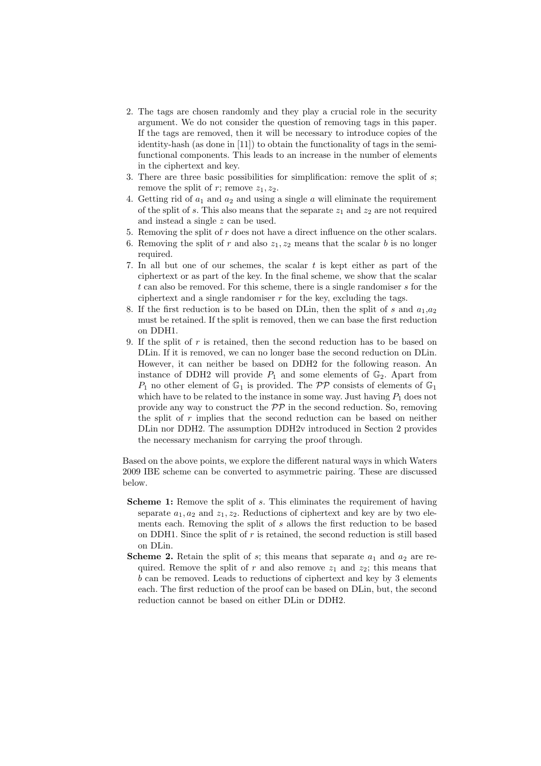- 2. The tags are chosen randomly and they play a crucial role in the security argument. We do not consider the question of removing tags in this paper. If the tags are removed, then it will be necessary to introduce copies of the identity-hash (as done in [11]) to obtain the functionality of tags in the semifunctional components. This leads to an increase in the number of elements in the ciphertext and key.
- 3. There are three basic possibilities for simplification: remove the split of s; remove the split of r; remove  $z_1, z_2$ .
- 4. Getting rid of  $a_1$  and  $a_2$  and using a single a will eliminate the requirement of the split of s. This also means that the separate  $z_1$  and  $z_2$  are not required and instead a single z can be used.
- 5. Removing the split of r does not have a direct influence on the other scalars.
- 6. Removing the split of r and also  $z_1, z_2$  means that the scalar b is no longer required.
- 7. In all but one of our schemes, the scalar  $t$  is kept either as part of the ciphertext or as part of the key. In the final scheme, we show that the scalar  $t$  can also be removed. For this scheme, there is a single randomiser  $s$  for the ciphertext and a single randomiser  $r$  for the key, excluding the tags.
- 8. If the first reduction is to be based on DLin, then the split of s and  $a_1, a_2$ must be retained. If the split is removed, then we can base the first reduction on DDH1.
- 9. If the split of r is retained, then the second reduction has to be based on DLin. If it is removed, we can no longer base the second reduction on DLin. However, it can neither be based on DDH2 for the following reason. An instance of DDH2 will provide  $P_1$  and some elements of  $\mathbb{G}_2$ . Apart from  $P_1$  no other element of  $\mathbb{G}_1$  is provided. The PP consists of elements of  $\mathbb{G}_1$ which have to be related to the instance in some way. Just having  $P_1$  does not provide any way to construct the  $\mathcal{PP}$  in the second reduction. So, removing the split of r implies that the second reduction can be based on neither DLin nor DDH2. The assumption DDH2v introduced in Section 2 provides the necessary mechanism for carrying the proof through.

Based on the above points, we explore the different natural ways in which Waters 2009 IBE scheme can be converted to asymmetric pairing. These are discussed below.

- Scheme 1: Remove the split of s. This eliminates the requirement of having separate  $a_1, a_2$  and  $z_1, z_2$ . Reductions of ciphertext and key are by two elements each. Removing the split of s allows the first reduction to be based on DDH1. Since the split of  $r$  is retained, the second reduction is still based on DLin.
- **Scheme 2.** Retain the split of s; this means that separate  $a_1$  and  $a_2$  are required. Remove the split of r and also remove  $z_1$  and  $z_2$ ; this means that b can be removed. Leads to reductions of ciphertext and key by 3 elements each. The first reduction of the proof can be based on DLin, but, the second reduction cannot be based on either DLin or DDH2.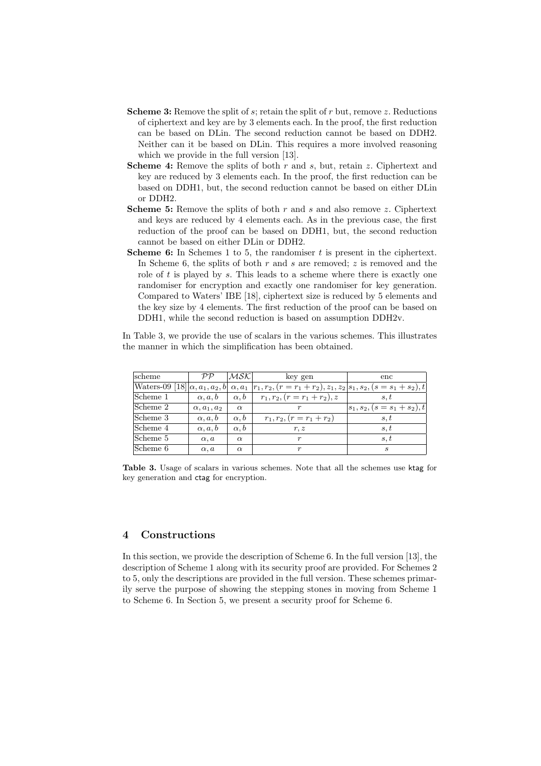- **Scheme 3:** Remove the split of s; retain the split of r but, remove z. Reductions of ciphertext and key are by 3 elements each. In the proof, the first reduction can be based on DLin. The second reduction cannot be based on DDH2. Neither can it be based on DLin. This requires a more involved reasoning which we provide in the full version [13].
- **Scheme 4:** Remove the splits of both  $r$  and  $s$ , but, retain  $z$ . Ciphertext and key are reduced by 3 elements each. In the proof, the first reduction can be based on DDH1, but, the second reduction cannot be based on either DLin or DDH2.
- **Scheme 5:** Remove the splits of both  $r$  and  $s$  and also remove  $z$ . Ciphertext and keys are reduced by 4 elements each. As in the previous case, the first reduction of the proof can be based on DDH1, but, the second reduction cannot be based on either DLin or DDH2.
- **Scheme 6:** In Schemes 1 to 5, the randomiser  $t$  is present in the ciphertext. In Scheme 6, the splits of both  $r$  and  $s$  are removed;  $z$  is removed and the role of t is played by s. This leads to a scheme where there is exactly one randomiser for encryption and exactly one randomiser for key generation. Compared to Waters' IBE [18], ciphertext size is reduced by 5 elements and the key size by 4 elements. The first reduction of the proof can be based on DDH1, while the second reduction is based on assumption DDH2v.

In Table 3, we provide the use of scalars in the various schemes. This illustrates the manner in which the simplification has been obtained.

| <b>scheme</b> | $\cal PP$          | $ \mathcal{M}\mathcal{S}\mathcal{K} $ | key gen                                                                                                                                 | enc                              |
|---------------|--------------------|---------------------------------------|-----------------------------------------------------------------------------------------------------------------------------------------|----------------------------------|
|               |                    |                                       | Waters-09 [18] $\alpha$ , $a_1$ , $a_2$ , $b \alpha$ , $a_1   r_1, r_2$ , $(r = r_1 + r_2), z_1, z_2   s_1, s_2$ , $(s = s_1 + s_2), t$ |                                  |
| Scheme 1      | $\alpha, a, b$     | $\alpha, b$                           | $r_1, r_2, (r = r_1 + r_2), z$                                                                                                          | s.t                              |
| Scheme 2      | $\alpha, a_1, a_2$ | $\alpha$                              |                                                                                                                                         | $ s_1, s_2, (s = s_1 + s_2), t $ |
| Scheme 3      | $\alpha, a, b$     | $\alpha, b$                           | $r_1, r_2, (r = r_1 + r_2)$                                                                                                             | s, t                             |
| Scheme 4      | $\alpha, a, b$     | $\alpha, b$                           | r, z                                                                                                                                    | s, t                             |
| Scheme 5      | $\alpha$ , $a$     | $\alpha$                              | $\boldsymbol{r}$                                                                                                                        | s, t                             |
| Scheme 6      | $\alpha$ , $a$     | $\alpha$                              | r                                                                                                                                       | S                                |

Table 3. Usage of scalars in various schemes. Note that all the schemes use ktag for key generation and ctag for encryption.

# 4 Constructions

In this section, we provide the description of Scheme 6. In the full version [13], the description of Scheme 1 along with its security proof are provided. For Schemes 2 to 5, only the descriptions are provided in the full version. These schemes primarily serve the purpose of showing the stepping stones in moving from Scheme 1 to Scheme 6. In Section 5, we present a security proof for Scheme 6.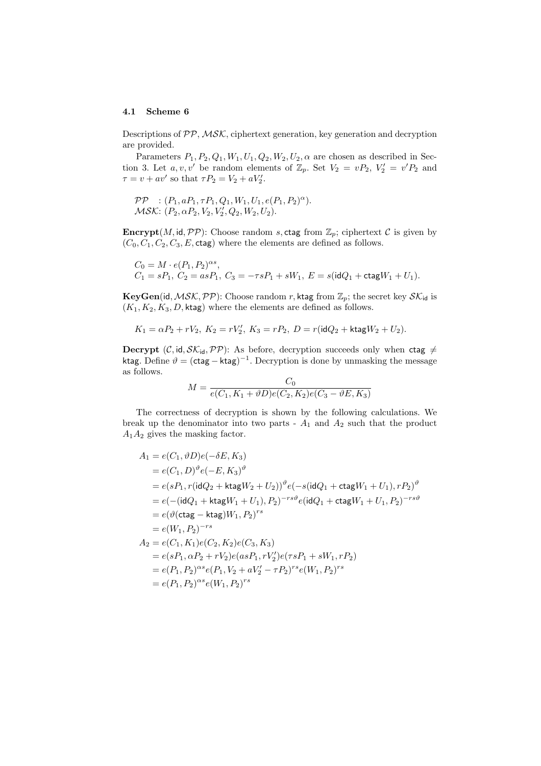#### 4.1 Scheme 6

Descriptions of  $PP$ ,  $MSK$ , ciphertext generation, key generation and decryption are provided.

Parameters  $P_1$ ,  $P_2$ ,  $Q_1$ ,  $W_1$ ,  $U_1$ ,  $Q_2$ ,  $W_2$ ,  $U_2$ ,  $\alpha$  are chosen as described in Section 3. Let  $a, v, v'$  be random elements of  $\mathbb{Z}_p$ . Set  $V_2 = vP_2$ ,  $V'_2 = v'P_2$  and  $\tau = v + av'$  so that  $\tau P_2 = V_2 + aV'_2$ .

 $\mathcal{PP}$  :  $(P_1, aP_1, \tau P_1, Q_1, W_1, U_1, e(P_1, P_2)^{\alpha}).$  $MSK: (P_2, \alpha P_2, V_2, V_2', Q_2, W_2, U_2).$ 

**Encrypt**(M, id,  $\mathcal{PP}$ ): Choose random s, ctag from  $\mathbb{Z}_p$ ; ciphertext C is given by  $(C_0, C_1, C_2, C_3, E, \text{ctag})$  where the elements are defined as follows.

$$
C_0 = M \cdot e(P_1, P_2)^{\alpha s},
$$
  
\n
$$
C_1 = sP_1, C_2 = asP_1, C_3 = -\tau sP_1 + sW_1, E = s(\text{id}Q_1 + \text{ctag}W_1 + U_1).
$$

**KeyGen**(id,  $MSK, PP$ ): Choose random r, ktag from  $\mathbb{Z}_p$ ; the secret key  $SK_{id}$  is  $(K_1, K_2, K_3, D, \text{ktag})$  where the elements are defined as follows.

$$
K_1 = \alpha P_2 + rV_2, K_2 = rV'_2, K_3 = rP_2, D = r(\text{id}Q_2 + \text{ktag}W_2 + U_2).
$$

**Decrypt** (C, id,  $SK_{id}$ ,  $PP$ ): As before, decryption succeeds only when ctag  $\neq$ ktag. Define  $\vartheta = (\text{ctag} - \text{ktag})^{-1}$ . Decryption is done by unmasking the message as follows.

$$
M = \frac{C_0}{e(C_1, K_1 + \vartheta D)e(C_2, K_2)e(C_3 - \vartheta E, K_3)}
$$

The correctness of decryption is shown by the following calculations. We break up the denominator into two parts -  $A_1$  and  $A_2$  such that the product  $A_1A_2$  gives the masking factor.

$$
A_1 = e(C_1, \vartheta D)e(-\delta E, K_3)
$$
  
\n
$$
= e(C_1, D)^{\vartheta}e(-E, K_3)^{\vartheta}
$$
  
\n
$$
= e(sP_1, r(idQ_2 + ktagW_2 + U_2))^{\vartheta}e(-s(idQ_1 + ctagW_1 + U_1), rP_2)^{\vartheta}
$$
  
\n
$$
= e(-(idQ_1 + ktagW_1 + U_1), P_2)^{-rs\vartheta}e(idQ_1 + ctagW_1 + U_1, P_2)^{-rs\vartheta}
$$
  
\n
$$
= e(\vartheta (ctag - ktag)W_1, P_2)^{rs}
$$
  
\n
$$
= e(W_1, P_2)^{-rs}
$$
  
\n
$$
A_2 = e(C_1, K_1)e(C_2, K_2)e(C_3, K_3)
$$
  
\n
$$
= e(sP_1, \alpha P_2 + rV_2)e(asP_1, rV_2')e(\tau sP_1 + sW_1, rP_2)
$$
  
\n
$$
= e(P_1, P_2)^{\alpha s}e(P_1, V_2 + aV_2' - \tau P_2)^{rs}e(W_1, P_2)^{rs}
$$
  
\n
$$
= e(P_1, P_2)^{\alpha s}e(W_1, P_2)^{rs}
$$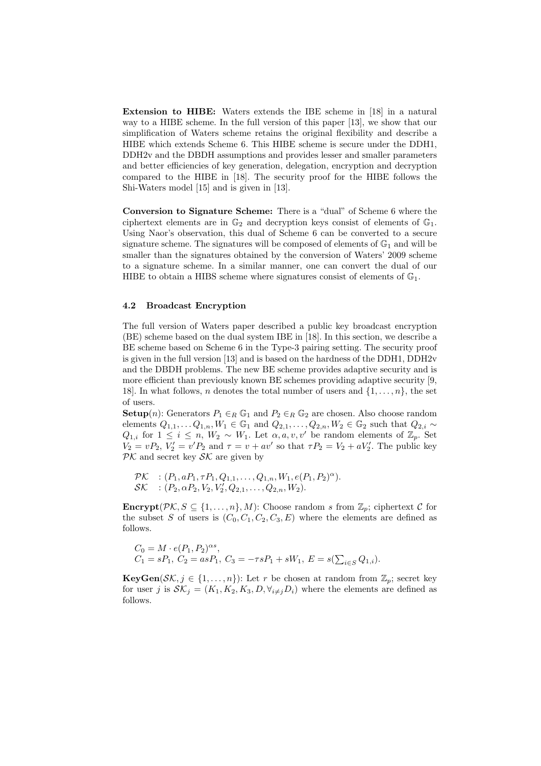Extension to HIBE: Waters extends the IBE scheme in [18] in a natural way to a HIBE scheme. In the full version of this paper [13], we show that our simplification of Waters scheme retains the original flexibility and describe a HIBE which extends Scheme 6. This HIBE scheme is secure under the DDH1, DDH2v and the DBDH assumptions and provides lesser and smaller parameters and better efficiencies of key generation, delegation, encryption and decryption compared to the HIBE in [18]. The security proof for the HIBE follows the Shi-Waters model [15] and is given in [13].

Conversion to Signature Scheme: There is a "dual" of Scheme 6 where the ciphertext elements are in  $\mathbb{G}_2$  and decryption keys consist of elements of  $\mathbb{G}_1$ . Using Naor's observation, this dual of Scheme 6 can be converted to a secure signature scheme. The signatures will be composed of elements of  $\mathbb{G}_1$  and will be smaller than the signatures obtained by the conversion of Waters' 2009 scheme to a signature scheme. In a similar manner, one can convert the dual of our HIBE to obtain a HIBS scheme where signatures consist of elements of  $\mathbb{G}_1$ .

## 4.2 Broadcast Encryption

The full version of Waters paper described a public key broadcast encryption (BE) scheme based on the dual system IBE in [18]. In this section, we describe a BE scheme based on Scheme 6 in the Type-3 pairing setting. The security proof is given in the full version [13] and is based on the hardness of the DDH1, DDH2v and the DBDH problems. The new BE scheme provides adaptive security and is more efficient than previously known BE schemes providing adaptive security [9, 18]. In what follows, *n* denotes the total number of users and  $\{1, \ldots, n\}$ , the set of users.

**Setup**(n): Generators  $P_1 \in_R \mathbb{G}_1$  and  $P_2 \in_R \mathbb{G}_2$  are chosen. Also choose random elements  $Q_{1,1}, \ldots Q_{1,n}, W_1 \in \mathbb{G}_1$  and  $Q_{2,1}, \ldots, Q_{2,n}, W_2 \in \mathbb{G}_2$  such that  $Q_{2,i} \sim$  $Q_{1,i}$  for  $1 \leq i \leq n$ ,  $W_2 \sim W_1$ . Let  $\alpha, a, v, v'$  be random elements of  $\mathbb{Z}_p$ . Set  $V_2 = vP_2$ ,  $V_2' = v'P_2$  and  $\tau = v + av'$  so that  $\tau P_2 = V_2 + aV_2'$ . The public key  $\mathcal{PK}$  and secret key  $\mathcal{SK}$  are given by

$$
\mathcal{PK} : (P_1, aP_1, \tau P_1, Q_{1,1}, \ldots, Q_{1,n}, W_1, e(P_1, P_2)^{\alpha}).
$$
  

$$
\mathcal{SK} : (P_2, \alpha P_2, V_2, V_2', Q_{2,1}, \ldots, Q_{2,n}, W_2).
$$

**Encrypt**( $\mathcal{PK}, S \subseteq \{1, \ldots, n\}, M$ ): Choose random s from  $\mathbb{Z}_p$ ; ciphertext C for the subset S of users is  $(C_0, C_1, C_2, C_3, E)$  where the elements are defined as follows.

$$
C_0 = M \cdot e(P_1, P_2)^{\alpha s},
$$
  
\n
$$
C_1 = sP_1, C_2 = asP_1, C_3 = -\tau sP_1 + sW_1, E = s(\sum_{i \in S} Q_{1,i}).
$$

**KeyGen**( $\mathcal{SK}, j \in \{1, \ldots, n\}$ ): Let r be chosen at random from  $\mathbb{Z}_p$ ; secret key for user j is  $\mathcal{SK}_j = (K_1, K_2, K_3, D, \forall i \neq jD_i)$  where the elements are defined as follows.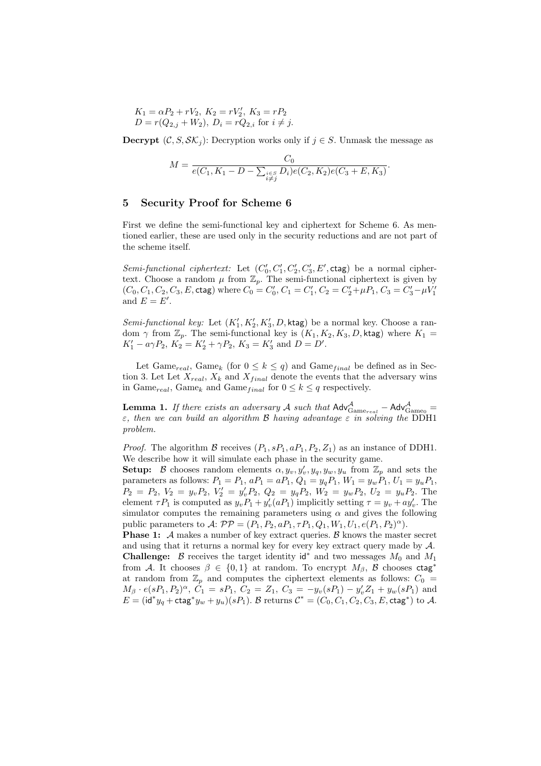$K_1 = \alpha P_2 + rV_2, K_2 = rV'_2, K_3 = rP_2$  $D = r(Q_{2,i} + W_2), D_i = rQ_{2,i}$  for  $i \neq i$ .

**Decrypt**  $(C, S, \mathcal{SK}_i)$ : Decryption works only if  $j \in S$ . Unmask the message as

$$
M = \frac{C_0}{e(C_1, K_1 - D - \sum_{\substack{i \in S \\ i \neq j}} D_i)e(C_2, K_2)e(C_3 + E, K_3)}.
$$

## 5 Security Proof for Scheme 6

First we define the semi-functional key and ciphertext for Scheme 6. As mentioned earlier, these are used only in the security reductions and are not part of the scheme itself.

Semi-functional ciphertext: Let  $(C'_0, C'_1, C'_2, C'_3, E', \text{ctag})$  be a normal ciphertext. Choose a random  $\mu$  from  $\mathbb{Z}_p$ . The semi-functional ciphertext is given by  $(C_0, C_1, C_2, C_3, E, \text{ctag})$  where  $C_0 = C'_0, C_1 = C'_1, C_2 = C'_2 + \mu P_1, C_3 = C'_3 - \mu V'_1$ and  $E = E'$ .

Semi-functional key: Let  $(K'_1, K'_2, K'_3, D, k$ tag) be a normal key. Choose a random  $\gamma$  from  $\mathbb{Z}_n$ . The semi-functional key is  $(K_1, K_2, K_3, D, \text{ktag})$  where  $K_1 =$  $K'_1 - a\gamma P_2, K_2 = K'_2 + \gamma P_2, K_3 = K'_3$  and  $D = D'.$ 

Let Game<sub>real</sub>, Game<sub>k</sub> (for  $0 \leq k \leq q$ ) and Game<sub>final</sub> be defined as in Section 3. Let Let  $X_{real}$ ,  $X_k$  and  $X_{final}$  denote the events that the adversary wins in Game<sub>real</sub>, Game<sub>k</sub> and Game<sub>final</sub> for  $0 \leq k \leq q$  respectively.

**Lemma 1.** If there exists an adversary A such that  $\mathsf{Adv}_{\mathsf{Game}_{real}}^{\mathcal{A}} - \mathsf{Adv}_{\mathsf{Game}_0}^{\mathcal{A}} =$ ε*, then we can build an algorithm* B *having advantage* ε *in solving the* DDH1 *problem.*

*Proof.* The algorithm B receives  $(P_1, sP_1, aP_1, P_2, Z_1)$  as an instance of DDH1. We describe how it will simulate each phase in the security game.

**Setup:** B chooses random elements  $\alpha, y_v, y'_v, y_q, y_w, y_u$  from  $\mathbb{Z}_p$  and sets the parameters as follows:  $P_1 = P_1$ ,  $aP_1 = aP_1$ ,  $Q_1 = y_qP_1$ ,  $W_1 = y_wP_1$ ,  $U_1 = y_uP_1$ ,  $P_2 = P_2, V_2 = y_v P_2, V'_2 = y'_v P_2, Q_2 = y_q P_2, W_2 = y_w P_2, U_2 = y_u P_2.$  The element  $\tau P_1$  is computed as  $y_v P_1 + y'_v (a P_1)$  implicitly setting  $\tau = y_v + a y'_v$ . The simulator computes the remaining parameters using  $\alpha$  and gives the following public parameters to  $\mathcal{A}$ :  $\mathcal{PP} = (P_1, P_2, aP_1, \tau P_1, Q_1, W_1, U_1, e(P_1, P_2)^{\alpha}).$ 

**Phase 1:**  $\mathcal A$  makes a number of key extract queries.  $\mathcal B$  knows the master secret and using that it returns a normal key for every key extract query made by  $A$ . **Challenge:** B receives the target identity  $\mathbf{d}^*$  and two messages  $M_0$  and  $M_1$ from A. It chooses  $\beta \in \{0,1\}$  at random. To encrypt  $M_{\beta}$ , B chooses ctag<sup>\*</sup> at random from  $\mathbb{Z}_p$  and computes the ciphertext elements as follows:  $C_0$  =  $M_{\beta} \cdot e(sP_1, P_2)^{\alpha}, \ \tilde{C}_1 = sP_1, \ C_2 = Z_1, \ C_3 = -y_v(sP_1) - y'_v Z_1 + y_w(sP_1)$  and  $E = (\mathsf{id}^* y_q + \mathsf{ctag}^* y_w + y_u)(sP_1)$ . B returns  $\mathcal{C}^* = (C_0, C_1, C_2, C_3, E, \mathsf{ctag}^*)$  to A.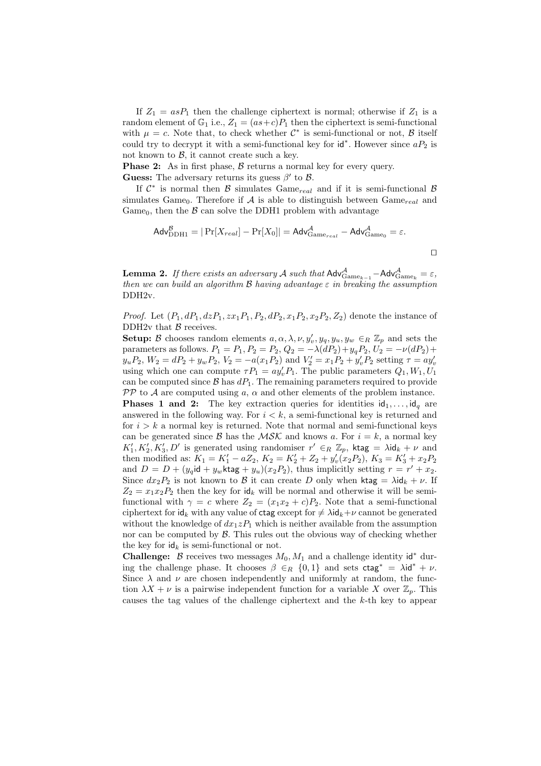If  $Z_1 = asP_1$  then the challenge ciphertext is normal; otherwise if  $Z_1$  is a random element of  $\mathbb{G}_1$  i.e.,  $Z_1 = (as+c)P_1$  then the ciphertext is semi-functional with  $\mu = c$ . Note that, to check whether  $\mathcal{C}^*$  is semi-functional or not,  $\mathcal{B}$  itself could try to decrypt it with a semi-functional key for  $\mathsf{id}^*$ . However since  $aP_2$  is not known to  $\beta$ , it cannot create such a key.

**Phase 2:** As in first phase,  $\beta$  returns a normal key for every query. Guess: The adversary returns its guess  $\beta'$  to  $\beta$ .

If  $\mathcal{C}^*$  is normal then  $\mathcal B$  simulates Game<sub>real</sub> and if it is semi-functional  $\mathcal B$ simulates Game<sub>0</sub>. Therefore if  $A$  is able to distinguish between Game<sub>real</sub> and Game<sub>0</sub>, then the  $\beta$  can solve the DDH1 problem with advantage

$$
\mathsf{Adv}_{\mathrm{DDH1}}^{\mathcal{B}} = |\Pr[X_{real}] - \Pr[X_0]| = \mathsf{Adv}_{\mathrm{Game}_{real}}^{\mathcal{A}} - \mathsf{Adv}_{\mathrm{Game}_0}^{\mathcal{A}} = \varepsilon.
$$

Lemma 2. *If there exists an adversary* A *such that*  $Adv^{\mathcal{A}}_{Game_{k-1}} - Adv^{\mathcal{A}}_{Game_k} = \varepsilon$ , *then we can build an algorithm* B *having advantage* ε *in breaking the assumption* DDH2v*.*

*Proof.* Let  $(P_1, dP_1, dzP_1, zx_1P_1, P_2, dP_2, x_1P_2, x_2P_2, Z_2)$  denote the instance of DDH2v that  $\beta$  receives.

**Setup:** B chooses random elements  $a, \alpha, \lambda, \nu, y'_v, y_q, y_u, y_w \in_R \mathbb{Z}_p$  and sets the parameters as follows.  $P_1 = P_1$ ,  $P_2 = P_2$ ,  $Q_2 = -\lambda (dP_2) + y_q P_2$ ,  $U_2 = -\nu (dP_2) +$  $y_u P_2, W_2 = dP_2 + y_w P_2, V_2 = -a(x_1 P_2)$  and  $V_2' = x_1 P_2 + y'_v P_2$  setting  $\tau = a y'_v$ using which one can compute  $\tau P_1 = ay'_v P_1$ . The public parameters  $Q_1, W_1, U_1$ can be computed since  $\mathcal{B}$  has  $dP_1$ . The remaining parameters required to provide PP to A are computed using a,  $\alpha$  and other elements of the problem instance. **Phases 1 and 2:** The key extraction queries for identities  $id_1, \ldots, id_q$  are answered in the following way. For  $i < k$ , a semi-functional key is returned and for  $i > k$  a normal key is returned. Note that normal and semi-functional keys can be generated since B has the  $MSK$  and knows a. For  $i = k$ , a normal key  $K'_1, K'_2, K'_3, D'$  is generated using randomiser  $r' \in_R \mathbb{Z}_p$ , ktag =  $\lambda id_k + \nu$  and then modified as:  $K_1 = K_1' - aZ_2$ ,  $K_2 = K_2' + Z_2 + y_v'(x_2P_2)$ ,  $K_3 = K_3' + x_2P_2$ and  $D = D + (y_q \mathsf{id} + y_w \mathsf{ktag} + y_u)(x_2 P_2)$ , thus implicitly setting  $r = r' + x_2$ . Since  $dx_2P_2$  is not known to B it can create D only when ktag =  $\lambda id_k + \nu$ . If  $Z_2 = x_1 x_2 P_2$  then the key for id<sub>k</sub> will be normal and otherwise it will be semifunctional with  $\gamma = c$  where  $Z_2 = (x_1x_2 + c)P_2$ . Note that a semi-functional ciphertext for  $\mathsf{id}_k$  with any value of ctag except for  $\neq \lambda \mathsf{id}_k + \nu$  cannot be generated without the knowledge of  $dx_1zP_1$  which is neither available from the assumption nor can be computed by  $\beta$ . This rules out the obvious way of checking whether the key for  $\mathsf{id}_k$  is semi-functional or not.

**Challenge:** B receives two messages  $M_0, M_1$  and a challenge identity id<sup>\*</sup> during the challenge phase. It chooses  $\beta \in_R \{0,1\}$  and sets  $\text{ctag}^* = \lambda \text{id}^* + \nu$ . Since  $\lambda$  and  $\nu$  are chosen independently and uniformly at random, the function  $\lambda X + \nu$  is a pairwise independent function for a variable X over  $\mathbb{Z}_p$ . This causes the tag values of the challenge ciphertext and the k-th key to appear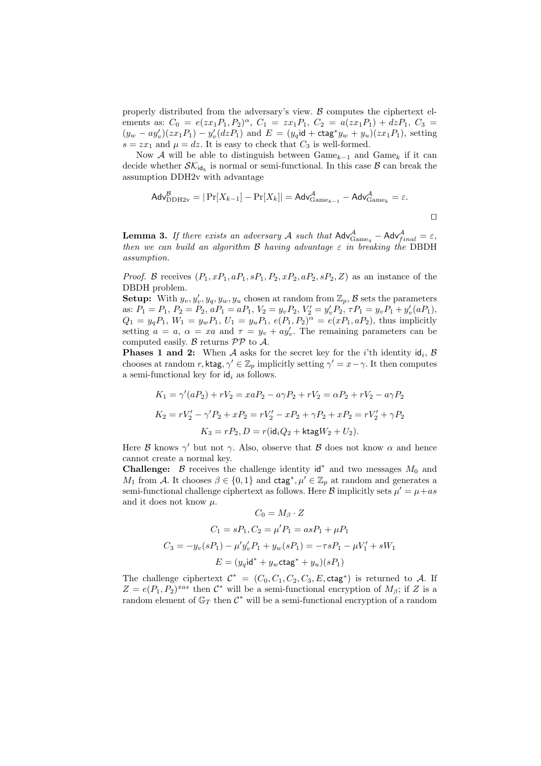properly distributed from the adversary's view.  $\beta$  computes the ciphertext elements as:  $C_0 = e(zx_1P_1, P_2)^{\alpha}$ ,  $C_1 = zx_1P_1$ ,  $C_2 = a(zx_1P_1) + dzP_1$ ,  $C_3 =$  $(y_w - ay'_v)(zx_1P_1) - y'_v(dzP_1)$  and  $E = (y_q \text{id} + \text{ctag}^* y_w + y_u)(zx_1P_1)$ , setting  $s = zx_1$  and  $\mu = dz$ . It is easy to check that  $C_3$  is well-formed.

Now A will be able to distinguish between  $\text{Game}_{k-1}$  and  $\text{Game}_k$  if it can decide whether  $\mathcal{SK}_{\mathsf{id}_k}$  is normal or semi-functional. In this case  $\mathcal B$  can break the assumption DDH2v with advantage

$$
\mathsf{Adv}_{\mathrm{DDH2v}}^{\mathcal{B}} = |\Pr[X_{k-1}] - \Pr[X_k]| = \mathsf{Adv}_{\mathrm{Game}_{k-1}}^{\mathcal{A}} - \mathsf{Adv}_{\mathrm{Game}_k}^{\mathcal{A}} = \varepsilon.
$$

**Lemma 3.** If there exists an adversary A such that  $Adv_{Game_q}^A - Adv_{final}^A = \varepsilon$ , *then we can build an algorithm* B *having advantage* ε *in breaking the* DBDH *assumption.*

*Proof.* B receives  $(P_1, xP_1, aP_1, sP_1, P_2, xP_2, aP_2, sP_2, Z)$  as an instance of the DBDH problem.

**Setup:** With  $y_v, y'_v, y_q, y_w, y_u$  chosen at random from  $\mathbb{Z}_p$ ,  $\mathcal{B}$  sets the parameters as:  $P_1 = P_1, P_2 = P_2, aP_1 = aP_1, V_2 = y_v P_2, V'_2 = y'_v P_2, \tau P_1 = y_v P_1 + y'_v (aP_1),$  $Q_1 = y_q P_1, W_1 = y_w P_1, U_1 = y_u P_1, e(P_1, P_2)^{\alpha} = e(x P_1, a P_2)$ , thus implicitly setting  $a = a, \alpha = xa$  and  $\tau = y_v + ay'_v$ . The remaining parameters can be computed easily.  $\beta$  returns  $\mathcal{PP}$  to  $\mathcal{A}$ .

**Phases 1 and 2:** When A asks for the secret key for the *i*'th identity  $id_i$ , B chooses at random r, ktag,  $\gamma' \in \mathbb{Z}_p$  implicitly setting  $\gamma' = x - \gamma$ . It then computes a semi-functional key for  $\mathsf{id}_i$  as follows.

$$
K_1 = \gamma'(aP_2) + rV_2 = xaP_2 - a\gamma P_2 + rV_2 = \alpha P_2 + rV_2 - a\gamma P_2
$$
  
\n
$$
K_2 = rV_2' - \gamma'P_2 + xP_2 = rV_2' - xP_2 + \gamma P_2 + xP_2 = rV_2' + \gamma P_2
$$
  
\n
$$
K_3 = rP_2, D = r(\text{id}_i Q_2 + \text{ktag} W_2 + U_2).
$$

Here  $\beta$  knows  $\gamma'$  but not  $\gamma$ . Also, observe that  $\beta$  does not know  $\alpha$  and hence cannot create a normal key.

**Challenge:** B receives the challenge identity  $id^*$  and two messages  $M_0$  and M<sub>1</sub> from A. It chooses  $\beta \in \{0,1\}$  and  $\text{ctag}^*, \mu' \in \mathbb{Z}_p$  at random and generates a semi-functional challenge ciphertext as follows. Here  $\beta$  implicitly sets  $\mu' = \mu + as$ and it does not know  $\mu$ .

$$
C_0 = M_{\beta} \cdot Z
$$
  
\n
$$
C_1 = sP_1, C_2 = \mu'P_1 = asP_1 + \mu P_1
$$
  
\n
$$
C_3 = -y_v(sP_1) - \mu'y'_vP_1 + y_w(sP_1) = -\tau sP_1 - \mu V'_1 + sW_1
$$
  
\n
$$
E = (y_q \text{id}^* + y_w \text{ctag}^* + y_u)(sP_1)
$$

The challenge ciphertext  $\mathcal{C}^* = (C_0, C_1, C_2, C_3, E, \text{ctag}^*)$  is returned to A. If  $Z = e(P_1, P_2)^{xas}$  then  $\mathcal{C}^*$  will be a semi-functional encryption of  $M_\beta$ ; if Z is a random element of  $\mathbb{G}_T$  then  $\mathcal{C}^*$  will be a semi-functional encryption of a random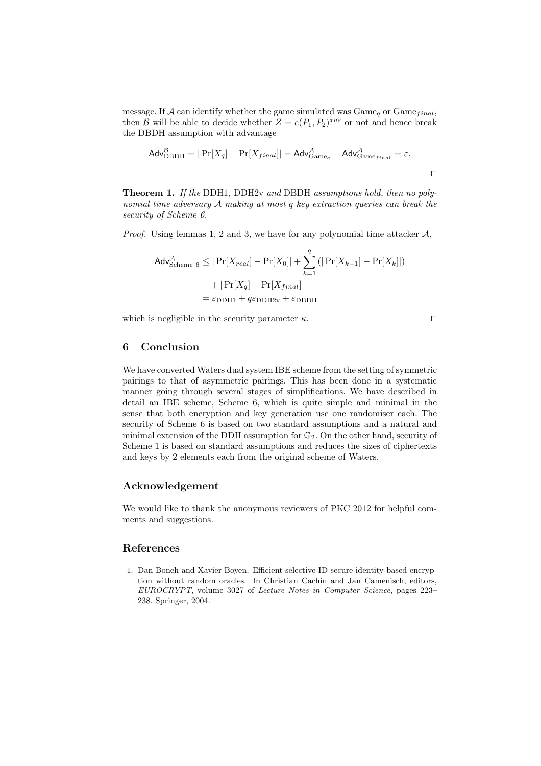message. If A can identify whether the game simulated was  $\text{Game}_q$  or  $\text{Game}_{final}$ , then B will be able to decide whether  $Z = e(P_1, P_2)^{xas}$  or not and hence break the DBDH assumption with advantage

$$
\mathsf{Adv}_{\mathsf{DBDH}}^{\mathcal{B}} = |\Pr[X_q] - \Pr[X_{final}]| = \mathsf{Adv}_{\mathsf{Game}_q}^{\mathcal{A}} - \mathsf{Adv}_{\mathsf{Game}_{final}}^{\mathcal{A}} = \varepsilon.
$$

Theorem 1. *If the* DDH1*,* DDH2v *and* DBDH *assumptions hold, then no polynomial time adversary* A *making at most* q *key extraction queries can break the security of Scheme 6.*

*Proof.* Using lemmas 1, 2 and 3, we have for any polynomial time attacker  $A$ ,

$$
\mathsf{Adv}_{\mathsf{Scheme} \ 6}^{\mathcal{A}} \leq |\Pr[X_{real}] - \Pr[X_0]| + \sum_{k=1}^{q} (|\Pr[X_{k-1}] - \Pr[X_k]|) + |\Pr[X_q] - \Pr[X_{final}]|
$$

$$
= \varepsilon_{\mathsf{DDH1}} + q \varepsilon_{\mathsf{DDH2v}} + \varepsilon_{\mathsf{DBDH}}
$$

which is negligible in the security parameter  $\kappa$ . □

# 6 Conclusion

We have converted Waters dual system IBE scheme from the setting of symmetric pairings to that of asymmetric pairings. This has been done in a systematic manner going through several stages of simplifications. We have described in detail an IBE scheme, Scheme 6, which is quite simple and minimal in the sense that both encryption and key generation use one randomiser each. The security of Scheme 6 is based on two standard assumptions and a natural and minimal extension of the DDH assumption for  $\mathbb{G}_2$ . On the other hand, security of Scheme 1 is based on standard assumptions and reduces the sizes of ciphertexts and keys by 2 elements each from the original scheme of Waters.

# Acknowledgement

We would like to thank the anonymous reviewers of PKC 2012 for helpful comments and suggestions.

## References

1. Dan Boneh and Xavier Boyen. Efficient selective-ID secure identity-based encryption without random oracles. In Christian Cachin and Jan Camenisch, editors, EUROCRYPT, volume 3027 of Lecture Notes in Computer Science, pages 223– 238. Springer, 2004.